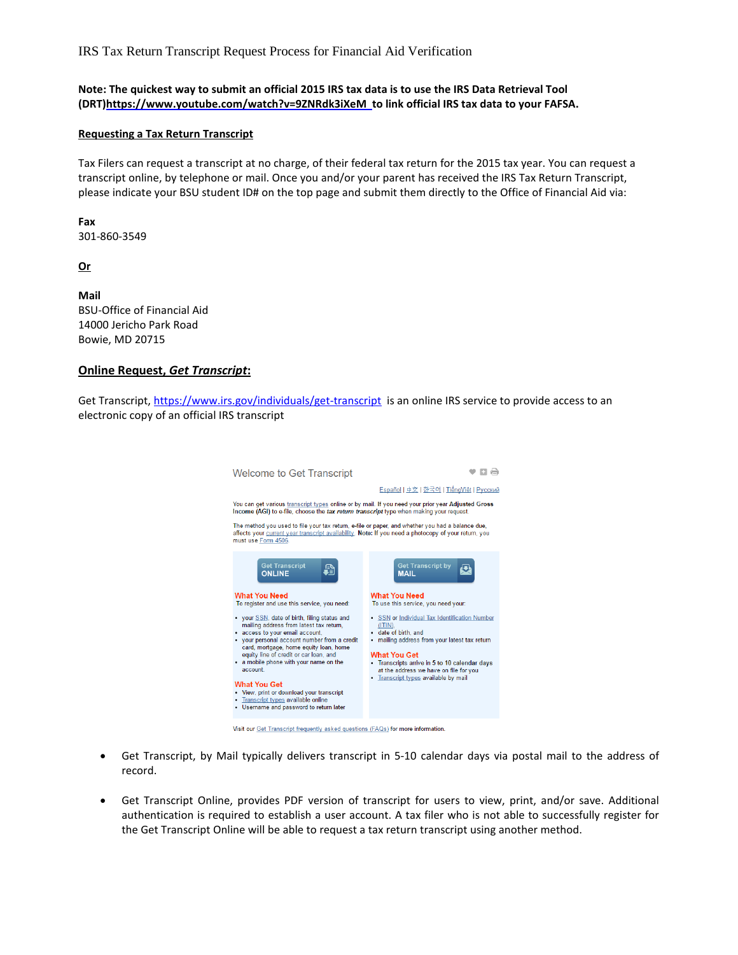IRS Tax Return Transcript Request Process for Financial Aid Verification

**Note: The quickest way to submit an official 2015 IRS tax data is to use the IRS Data Retrieval Tool (DRT[\)https://www.youtube.com/watch?v=9ZNRdk3iXeM](https://www.youtube.com/watch?v=9ZNRdk3iXeM) to link official IRS tax data to your FAFSA.**

## **Requesting a Tax Return Transcript**

Tax Filers can request a transcript at no charge, of their federal tax return for the 2015 tax year. You can request a transcript online, by telephone or mail. Once you and/or your parent has received the IRS Tax Return Transcript, please indicate your BSU student ID# on the top page and submit them directly to the Office of Financial Aid via:

**Fax** 301-860-3549

**Or**

**Mail** BSU-Office of Financial Aid 14000 Jericho Park Road Bowie, MD 20715

## **Online Request,** *Get Transcript***:**

Get Transcript[, https://www.irs.gov/individuals/get-transcript](https://www.irs.gov/individuals/get-transcript) is an online IRS service to provide access to an electronic copy of an official IRS transcript

| <b>Welcome to Get Transcript</b>                                                                                                                                                                                                                                                                                                                                                                                                                                                                                                                |                                                                                                                                                                                                                                                                                                                                                           |
|-------------------------------------------------------------------------------------------------------------------------------------------------------------------------------------------------------------------------------------------------------------------------------------------------------------------------------------------------------------------------------------------------------------------------------------------------------------------------------------------------------------------------------------------------|-----------------------------------------------------------------------------------------------------------------------------------------------------------------------------------------------------------------------------------------------------------------------------------------------------------------------------------------------------------|
|                                                                                                                                                                                                                                                                                                                                                                                                                                                                                                                                                 | <u> Español   中文   한국어   TiếnqViệt   Русский</u>                                                                                                                                                                                                                                                                                                          |
| You can get various transcript types online or by mail. If you need your prior year Adjusted Gross<br>Income (AGI) to e-file, choose the tax return transcript type when making your request.                                                                                                                                                                                                                                                                                                                                                   |                                                                                                                                                                                                                                                                                                                                                           |
| The method you used to file your tax return, e-file or paper, and whether you had a balance due,<br>affects your current year transcript availability. Note: If you need a photocopy of your return, you<br>must use Form 4506.                                                                                                                                                                                                                                                                                                                 |                                                                                                                                                                                                                                                                                                                                                           |
| <b>Get Transcript</b><br><b>ONLINE</b>                                                                                                                                                                                                                                                                                                                                                                                                                                                                                                          | <b>Get Transcript by</b><br><b>MAIL</b>                                                                                                                                                                                                                                                                                                                   |
| <b>What You Need</b><br>To register and use this service, you need:<br>• your SSN, date of birth, filing status and<br>mailing address from latest tax return,<br>• access to your email account.<br>your personal account number from a credit<br>card, mortgage, home equity loan, home<br>equity line of credit or car loan, and<br>• a mobile phone with your name on the<br>account.<br><b>What You Get</b><br>• View, print or download your transcript<br>• Transcript types available online<br>. Username and password to return later | <b>What You Need</b><br>To use this service, you need your:<br>• SSN or Individual Tax Identification Number<br>(ITIN)<br>· date of birth, and<br>· mailing address from your latest tax return<br><b>What You Get</b><br>• Transcripts arrive in 5 to 10 calendar days<br>at the address we have on file for you<br>• Transcript types available by mail |
| Visit our Get Transcript frequently asked questions $(F\Delta\Omega s)$ for more information                                                                                                                                                                                                                                                                                                                                                                                                                                                    |                                                                                                                                                                                                                                                                                                                                                           |

- Get Transcript, by Mail typically delivers transcript in 5-10 calendar days via postal mail to the address of record.
- Get Transcript Online, provides PDF version of transcript for users to view, print, and/or save. Additional authentication is required to establish a user account. A tax filer who is not able to successfully register for the Get Transcript Online will be able to request a tax return transcript using another method.